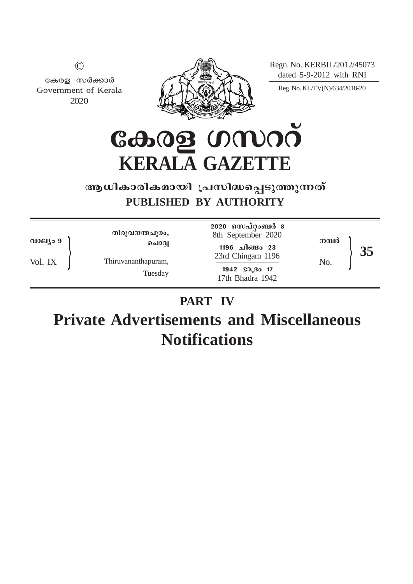Regn. No. KERBIL/2012/45073 dated 5-9-2012 with RNI



കേരള സർക്കാർ Government of Kerala 2020

 $\odot$ 

Reg. No. KL/TV(N)/634/2018-20

കേരള ഗസററ് **KERALA GAZETTE**

## ആധികാരികമായി പ്രസിദ്ധപ്പെടുത്തുന്നത് **PUBLISHED BY AUTHORITY**

| വാല്യം 9 | തിരുവനന്തപുരം,                          | 2020 സെപ്റ്റംബർ 8<br>8th September 2020                                                | നമ്പർ |
|----------|-----------------------------------------|----------------------------------------------------------------------------------------|-------|
| Vol. IX  | ചൊവ്വ<br>Thiruvananthapuram,<br>Tuesday | 1196 ചിങ്ങം 23<br>23rd Chingam 1196<br>$1942$ $\odot$ $\odot$ $17$<br>17th Bhadra 1942 | No.   |

# **PART IV**

**Private Advertisements and Miscellaneous Notifications**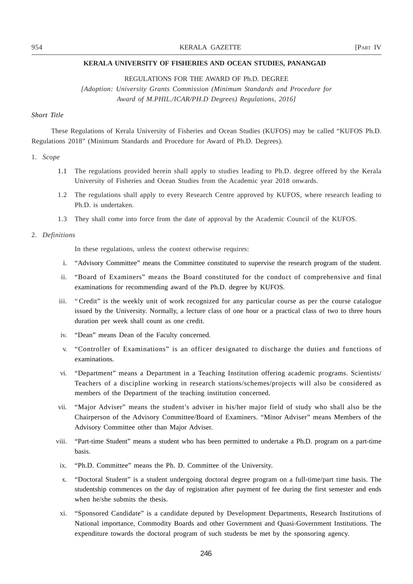REGULATIONS FOR THE AWARD OF Ph.D. DEGREE

*[Adoption: University Grants Commission (Minimum Standards and Procedure for Award of M.PHIL./ICAR/PH.D Degrees) Regulations, 2016]*

## *Short Title*

These Regulations of Kerala University of Fisheries and Ocean Studies (KUFOS) may be called "KUFOS Ph.D. Regulations 2018" (Minimum Standards and Procedure for Award of Ph.D. Degrees).

## 1. *Scope*

- 1.1 The regulations provided herein shall apply to studies leading to Ph.D. degree offered by the Kerala University of Fisheries and Ocean Studies from the Academic year 2018 onwards.
- 1.2 The regulations shall apply to every Research Centre approved by KUFOS, where research leading to Ph.D. is undertaken.
- 1.3 They shall come into force from the date of approval by the Academic Council of the KUFOS.

#### 2. *Definitions*

In these regulations, unless the context otherwise requires:

- i. "Advisory Committee" means the Committee constituted to supervise the research program of the student.
- ii. "Board of Examiners" means the Board constituted for the conduct of comprehensive and final examinations for recommending award of the Ph.D. degree by KUFOS.
- iii. " Credit" is the weekly unit of work recognized for any particular course as per the course catalogue issued by the University. Normally, a lecture class of one hour or a practical class of two to three hours duration per week shall count as one credit.
- iv. "Dean" means Dean of the Faculty concerned.
- v. "Controller of Examinations" is an officer designated to discharge the duties and functions of examinations.
- vi. "Department" means a Department in a Teaching Institution offering academic programs. Scientists/ Teachers of a discipline working in research stations/schemes/projects will also be considered as members of the Department of the teaching institution concerned.
- vii. "Major Adviser" means the student's adviser in his/her major field of study who shall also be the Chairperson of the Advisory Committee/Board of Examiners. "Minor Adviser" means Members of the Advisory Committee other than Major Adviser.
- viii. "Part-time Student" means a student who has been permitted to undertake a Ph.D. program on a part-time basis.
- ix. "Ph.D. Committee" means the Ph. D. Committee of the University.
- x. "Doctoral Student" is a student undergoing doctoral degree program on a full-time/part time basis. The studentship commences on the day of registration after payment of fee during the first semester and ends when he/she submits the thesis.
- xi. "Sponsored Candidate" is a candidate deputed by Development Departments, Research Institutions of National importance, Commodity Boards and other Government and Quasi-Government Institutions. The expenditure towards the doctoral program of such students be met by the sponsoring agency.

246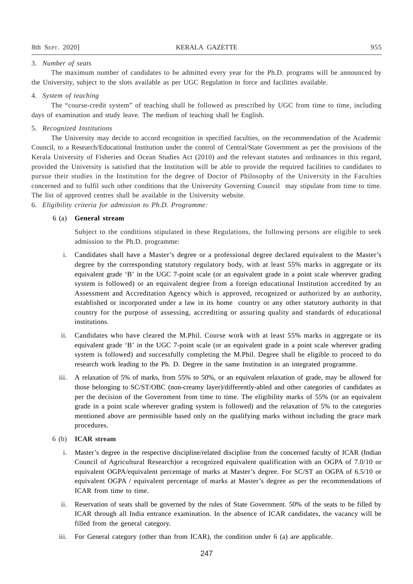#### 3. *Number of seats*

The maximum number of candidates to be admitted every year for the Ph.D. programs will be announced by the University, subject to the slots available as per UGC Regulation in force and facilities available.

## 4. *System of teaching*

The "course-credit system" of teaching shall be followed as prescribed by UGC from time to time, including days of examination and study leave. The medium of teaching shall be English.

## 5. *Recognized Institutions*

The University may decide to accord recognition in specified faculties, on the recommendation of the Academic Council, to a Research/Educational Institution under the control of Central/State Government as per the provisions of the Kerala University of Fisheries and Ocean Studies Act (2010) and the relevant statutes and ordinances in this regard, provided the University is satisfied that the Institution will be able to provide the required facilities to candidates to pursue their studies in the Institution for the degree of Doctor of Philosophy of the University in the Faculties concerned and to fulfil such other conditions that the University Governing Council may stipulate from time to time. The list of approved centres shall be available in the University website.

6. *Eligibility criteria for admission to Ph.D. Programme:*

## 6 (a) **General stream**

Subject to the conditions stipulated in these Regulations, the following persons are eligible to seek admission to the Ph.D. programme:

- i. Candidates shall have a Master's degree or a professional degree declared equivalent to the Master's degree by the corresponding statutory regulatory body, with at least 55% marks in aggregate or its equivalent grade 'B' in the UGC 7-point scale (or an equivalent grade in a point scale wherever grading system is followed) or an equivalent degree from a foreign educational Institution accredited by an Assessment and Accreditation Agency which is approved, recognized or authorized by an authority, established or incorporated under a law in its home country or any other statutory authority in that country for the purpose of assessing, accrediting or assuring quality and standards of educational institutions.
- ii. Candidates who have cleared the M.Phil. Course work with at least 55% marks in aggregate or its equivalent grade 'B' in the UGC 7-point scale (or an equivalent grade in a point scale wherever grading system is followed) and successfully completing the M.Phil. Degree shall be eligible to proceed to do research work leading to the Ph. D. Degree in the same Institution in an integrated programme.
- iii. A relaxation of 5% of marks, from 55% to 50%, or an equivalent relaxation of grade, may be allowed for those belonging to SC/ST/OBC (non-creamy layer)/differently-abled and other categories of candidates as per the decision of the Government from time to time. The eligibility marks of 55% (or an equivalent grade in a point scale wherever grading system is followed) and the relaxation of 5% to the categories mentioned above are permissible based only on the qualifying marks without including the grace mark procedures.

- i. Master's degree in the respective discipline/related discipline from the concerned faculty of ICAR (Indian Council of Agricultural Research)or a recognized equivalent qualification with an OGPA of 7.0/10 or equivalent OGPA/equivalent percentage of marks at Master's degree. For SC/ST an OGPA of 6.5/10 or equivalent OGPA / equivalent percentage of marks at Master's degree as per the recommendations of ICAR from time to time.
- ii. Reservation of seats shall be governed by the rules of State Government. 50% of the seats to be filled by ICAR through all India entrance examination. In the absence of ICAR candidates, the vacancy will be filled from the general category.
- iii. For General category (other than from ICAR), the condition under 6 (a) are applicable.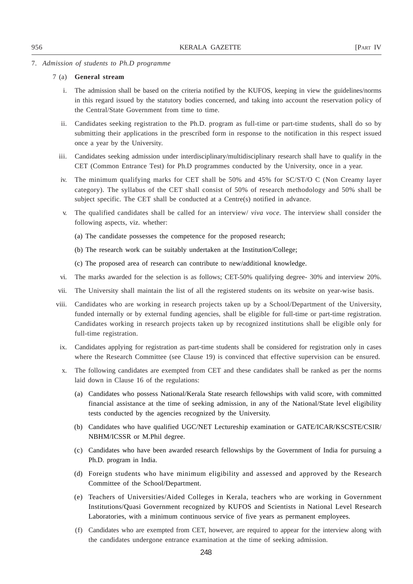#### 7. *Admission of students to Ph.D programme*

- i. The admission shall be based on the criteria notified by the KUFOS, keeping in view the guidelines/norms in this regard issued by the statutory bodies concerned, and taking into account the reservation policy of the Central/State Government from time to time.
- ii. Candidates seeking registration to the Ph.D. program as full-time or part-time students, shall do so by submitting their applications in the prescribed form in response to the notification in this respect issued once a year by the University.
- iii. Candidates seeking admission under interdisciplinary/multidisciplinary research shall have to qualify in the CET (Common Entrance Test) for Ph.D programmes conducted by the University, once in a year.
- iv. The minimum qualifying marks for CET shall be 50% and 45% for SC/ST/O C (Non Creamy layer category). The syllabus of the CET shall consist of 50% of research methodology and 50% shall be subject specific. The CET shall be conducted at a Centre(s) notified in advance.
- v. The qualified candidates shall be called for an interview/ *viva voce*. The interview shall consider the following aspects, viz. whether:
	- (a) The candidate possesses the competence for the proposed research;
	- (b) The research work can be suitably undertaken at the Institution/College;
	- (c) The proposed area of research can contribute to new/additional knowledge.
- vi. The marks awarded for the selection is as follows; CET-50% qualifying degree- 30% and interview 20%.
- vii. The University shall maintain the list of all the registered students on its website on year-wise basis.
- viii. Candidates who are working in research projects taken up by a School/Department of the University, funded internally or by external funding agencies, shall be eligible for full-time or part-time registration. Candidates working in research projects taken up by recognized institutions shall be eligible only for full-time registration.
- ix. Candidates applying for registration as part-time students shall be considered for registration only in cases where the Research Committee (see Clause 19) is convinced that effective supervision can be ensured.
- x. The following candidates are exempted from CET and these candidates shall be ranked as per the norms laid down in Clause 16 of the regulations:
	- (a) Candidates who possess National/Kerala State research fellowships with valid score, with committed financial assistance at the time of seeking admission, in any of the National/State level eligibility tests conducted by the agencies recognized by the University.
	- (b) Candidates who have qualified UGC/NET Lectureship examination or GATE/ICAR/KSCSTE/CSIR/ NBHM/ICSSR or M.Phil degree.
	- (c) Candidates who have been awarded research fellowships by the Government of India for pursuing a Ph.D. program in India.
	- (d) Foreign students who have minimum eligibility and assessed and approved by the Research Committee of the School/Department.
	- (e) Teachers of Universities/Aided Colleges in Kerala, teachers who are working in Government Institutions/Quasi Government recognized by KUFOS and Scientists in National Level Research Laboratories, with a minimum continuous service of five years as permanent employees.
	- (f) Candidates who are exempted from CET, however, are required to appear for the interview along with the candidates undergone entrance examination at the time of seeking admission.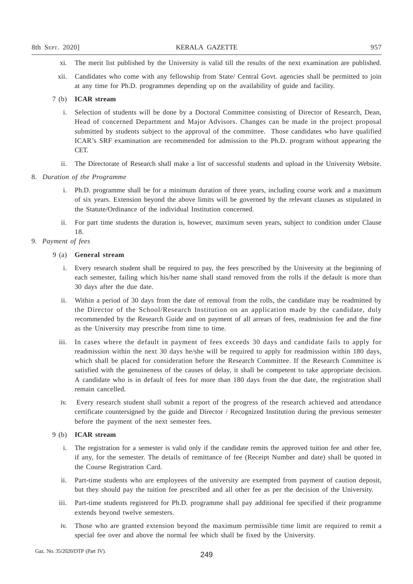- xi. The merit list published by the University is valid till the results of the next examination are published.
- xii. Candidates who come with any fellowship from State/ Central Govt. agencies shall be permitted to join at any time for Ph.D. programmes depending up on the availability of guide and facility.

- i. Selection of students will be done by a Doctoral Committee consisting of Director of Research, Dean, Head of concerned Department and Major Advisors. Changes can be made in the project proposal submitted by students subject to the approval of the committee. Those candidates who have qualified ICAR's SRF examination are recommended for admission to the Ph.D. program without appearing the CET.
- ii. The Directorate of Research shall make a list of successful students and upload in the University Website.

#### 8. *Duration of the Programme*

- i. Ph.D. programme shall be for a minimum duration of three years, including course work and a maximum of six years. Extension beyond the above limits will be governed by the relevant clauses as stipulated in the Statute/Ordinance of the individual Institution concerned.
- ii. For part time students the duration is, however, maximum seven years, subject to condition under Clause 18.

## 9. *Payment of fees*

## 9 (a) **General stream**

- i. Every research student shall be required to pay, the fees prescribed by the University at the beginning of each semester, failing which his/her name shall stand removed from the rolls if the default is more than 30 days after the due date.
- ii. Within a period of 30 days from the date of removal from the rolls, the candidate may be readmitted by the Director of the School/Research Institution on an application made by the candidate, duly recommended by the Research Guide and on payment of all arrears of fees, readmission fee and the fine as the University may prescribe from time to time.
- iii. In cases where the default in payment of fees exceeds 30 days and candidate fails to apply for readmission within the next 30 days he/she will be required to apply for readmission within 180 days, which shall be placed for consideration before the Research Committee. If the Research Committee is satisfied with the genuineness of the causes of delay, it shall be competent to take appropriate decision. A candidate who is in default of fees for more than 180 days from the due date, the registration shall remain cancelled.
- iv. Every research student shall submit a report of the progress of the research achieved and attendance certificate countersigned by the guide and Director / Recognized Institution during the previous semester before the payment of the next semester fees.

- i. The registration for a semester is valid only if the candidate remits the approved tuition fee and other fee, if any, for the semester. The details of remittance of fee (Receipt Number and date) shall be quoted in the Course Registration Card.
- ii. Part-time students who are employees of the university are exempted from payment of caution deposit, but they should pay the tuition fee prescribed and all other fee as per the decision of the University.
- iii. Part-time students registered for Ph.D. programme shall pay additional fee specified if their programme extends beyond twelve semesters.
- iv. Those who are granted extension beyond the maximum permissible time limit are required to remit a special fee over and above the normal fee which shall be fixed by the University.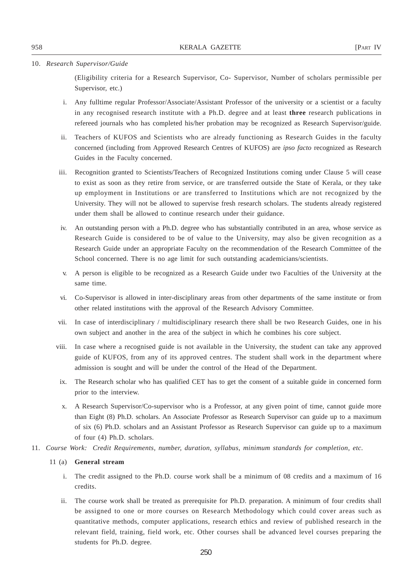## 10. *Research Supervisor/Guide*

(Eligibility criteria for a Research Supervisor, Co- Supervisor, Number of scholars permissible per Supervisor, etc.)

- i. Any fulltime regular Professor/Associate/Assistant Professor of the university or a scientist or a faculty in any recognised research institute with a Ph.D. degree and at least **three** research publications in refereed journals who has completed his/her probation may be recognized as Research Supervisor/guide.
- ii. Teachers of KUFOS and Scientists who are already functioning as Research Guides in the faculty concerned (including from Approved Research Centres of KUFOS) are *ipso facto* recognized as Research Guides in the Faculty concerned.
- iii. Recognition granted to Scientists/Teachers of Recognized Institutions coming under Clause 5 will cease to exist as soon as they retire from service, or are transferred outside the State of Kerala, or they take up employment in Institutions or are transferred to Institutions which are not recognized by the University. They will not be allowed to supervise fresh research scholars. The students already registered under them shall be allowed to continue research under their guidance.
- iv. An outstanding person with a Ph.D. degree who has substantially contributed in an area, whose service as Research Guide is considered to be of value to the University, may also be given recognition as a Research Guide under an appropriate Faculty on the recommendation of the Research Committee of the School concerned. There is no age limit for such outstanding academicians/scientists.
- v. A person is eligible to be recognized as a Research Guide under two Faculties of the University at the same time.
- vi. Co-Supervisor is allowed in inter-disciplinary areas from other departments of the same institute or from other related institutions with the approval of the Research Advisory Committee.
- vii. In case of interdisciplinary / multidisciplinary research there shall be two Research Guides, one in his own subject and another in the area of the subject in which he combines his core subject.
- viii. In case where a recognised guide is not available in the University, the student can take any approved guide of KUFOS, from any of its approved centres. The student shall work in the department where admission is sought and will be under the control of the Head of the Department.
- ix. The Research scholar who has qualified CET has to get the consent of a suitable guide in concerned form prior to the interview.
- x. A Research Supervisor/Co-supervisor who is a Professor, at any given point of time, cannot guide more than Eight (8) Ph.D. scholars. An Associate Professor as Research Supervisor can guide up to a maximum of six (6) Ph.D. scholars and an Assistant Professor as Research Supervisor can guide up to a maximum of four (4) Ph.D. scholars.
- 11. *Course Work: Credit Requirements, number, duration, syllabus, minimum standards for completion, etc.*

- i. The credit assigned to the Ph.D. course work shall be a minimum of 08 credits and a maximum of 16 credits.
- ii. The course work shall be treated as prerequisite for Ph.D. preparation. A minimum of four credits shall be assigned to one or more courses on Research Methodology which could cover areas such as quantitative methods, computer applications, research ethics and review of published research in the relevant field, training, field work, etc. Other courses shall be advanced level courses preparing the students for Ph.D. degree.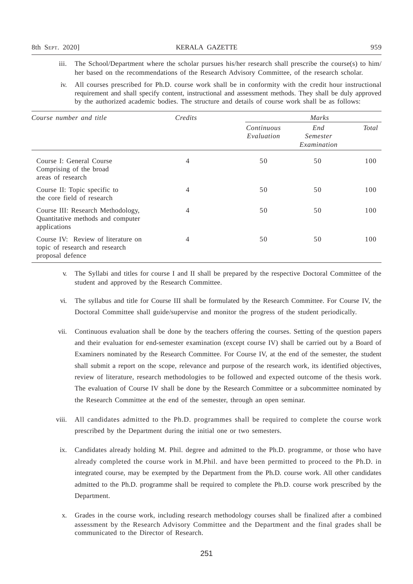- iii. The School/Department where the scholar pursues his/her research shall prescribe the course(s) to him/ her based on the recommendations of the Research Advisory Committee, of the research scholar.
- iv. All courses prescribed for Ph.D. course work shall be in conformity with the credit hour instructional requirement and shall specify content, instructional and assessment methods. They shall be duly approved by the authorized academic bodies. The structure and details of course work shall be as follows:

| Course number and title                                                                  | Credits | Marks                    |                                |       |
|------------------------------------------------------------------------------------------|---------|--------------------------|--------------------------------|-------|
|                                                                                          |         | Continuous<br>Evaluation | End<br>Semester<br>Examination | Total |
| Course I: General Course<br>Comprising of the broad<br>areas of research                 | 4       | 50                       | 50                             | 100   |
| Course II: Topic specific to<br>the core field of research                               | 4       | 50                       | 50                             | 100   |
| Course III: Research Methodology,<br>Quantitative methods and computer<br>applications   | 4       | 50                       | 50                             | 100   |
| Course IV: Review of literature on<br>topic of research and research<br>proposal defence | 4       | 50                       | 50                             | 100   |

- v. The Syllabi and titles for course I and II shall be prepared by the respective Doctoral Committee of the student and approved by the Research Committee.
- vi. The syllabus and title for Course III shall be formulated by the Research Committee. For Course IV, the Doctoral Committee shall guide/supervise and monitor the progress of the student periodically.
- vii. Continuous evaluation shall be done by the teachers offering the courses. Setting of the question papers and their evaluation for end-semester examination (except course IV) shall be carried out by a Board of Examiners nominated by the Research Committee. For Course IV, at the end of the semester, the student shall submit a report on the scope, relevance and purpose of the research work, its identified objectives, review of literature, research methodologies to be followed and expected outcome of the thesis work. The evaluation of Course IV shall be done by the Research Committee or a subcommittee nominated by the Research Committee at the end of the semester, through an open seminar.
- viii. All candidates admitted to the Ph.D. programmes shall be required to complete the course work prescribed by the Department during the initial one or two semesters.
- ix. Candidates already holding M. Phil. degree and admitted to the Ph.D. programme, or those who have already completed the course work in M.Phil. and have been permitted to proceed to the Ph.D. in integrated course, may be exempted by the Department from the Ph.D. course work. All other candidates admitted to the Ph.D. programme shall be required to complete the Ph.D. course work prescribed by the Department.
- x. Grades in the course work, including research methodology courses shall be finalized after a combined assessment by the Research Advisory Committee and the Department and the final grades shall be communicated to the Director of Research.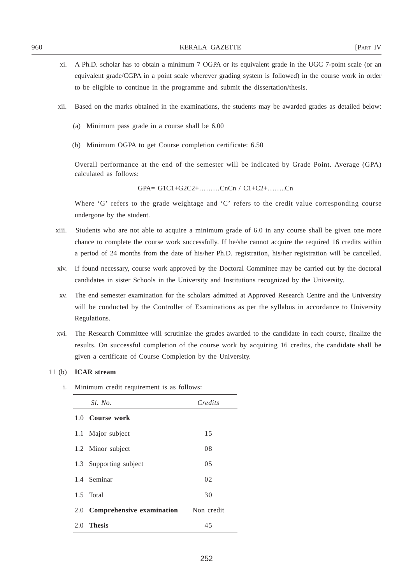- xi. A Ph.D. scholar has to obtain a minimum 7 OGPA or its equivalent grade in the UGC 7-point scale (or an equivalent grade/CGPA in a point scale wherever grading system is followed) in the course work in order to be eligible to continue in the programme and submit the dissertation/thesis.
- xii. Based on the marks obtained in the examinations, the students may be awarded grades as detailed below:
	- (a) Minimum pass grade in a course shall be 6.00
	- (b) Minimum OGPA to get Course completion certificate: 6.50

Overall performance at the end of the semester will be indicated by Grade Point. Average (GPA) calculated as follows:

GPA= G1C1+G2C2+………CnCn / C1+C2+……..Cn

Where 'G' refers to the grade weightage and 'C' refers to the credit value corresponding course undergone by the student.

- xiii. Students who are not able to acquire a minimum grade of 6.0 in any course shall be given one more chance to complete the course work successfully. If he/she cannot acquire the required 16 credits within a period of 24 months from the date of his/her Ph.D. registration, his/her registration will be cancelled.
- xiv. If found necessary, course work approved by the Doctoral Committee may be carried out by the doctoral candidates in sister Schools in the University and Institutions recognized by the University.
- xv. The end semester examination for the scholars admitted at Approved Research Centre and the University will be conducted by the Controller of Examinations as per the syllabus in accordance to University Regulations.
- xvi. The Research Committee will scrutinize the grades awarded to the candidate in each course, finalize the results. On successful completion of the course work by acquiring 16 credits, the candidate shall be given a certificate of Course Completion by the University.

## 11 (b) **ICAR stream**

i. Minimum credit requirement is as follows:

| Sl. No.                       | Credits    |
|-------------------------------|------------|
| 1.0 Course work               |            |
| 1.1 Major subject             | 15         |
| 1.2 Minor subject             | 08         |
| 1.3 Supporting subject        | 0.5        |
| 1.4 Seminar                   | 02         |
| 1.5 Total                     | 30         |
| 2.0 Comprehensive examination | Non credit |
| 2.0 Thesis                    | 45         |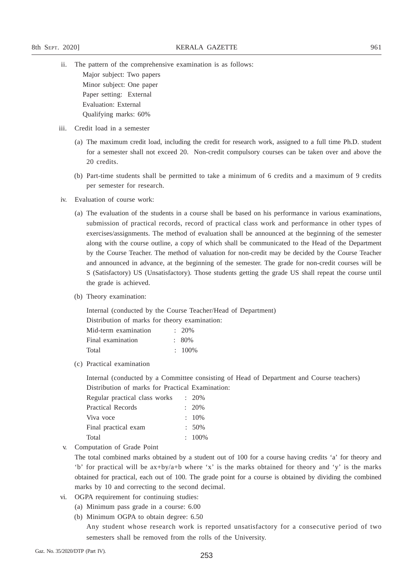- ii. The pattern of the comprehensive examination is as follows:
	- Major subject: Two papers Minor subject: One paper Paper setting: External Evaluation: External Qualifying marks: 60%
- iii. Credit load in a semester
	- (a) The maximum credit load, including the credit for research work, assigned to a full time Ph.D. student for a semester shall not exceed 20. Non-credit compulsory courses can be taken over and above the 20 credits.
	- (b) Part-time students shall be permitted to take a minimum of 6 credits and a maximum of 9 credits per semester for research.
- iv. Evaluation of course work:
	- (a) The evaluation of the students in a course shall be based on his performance in various examinations, submission of practical records, record of practical class work and performance in other types of exercises/assignments. The method of evaluation shall be announced at the beginning of the semester along with the course outline, a copy of which shall be communicated to the Head of the Department by the Course Teacher. The method of valuation for non-credit may be decided by the Course Teacher and announced in advance, at the beginning of the semester. The grade for non-credit courses will be S (Satisfactory) US (Unsatisfactory). Those students getting the grade US shall repeat the course until the grade is achieved.
	- (b) Theory examination:

Internal (conducted by the Course Teacher/Head of Department) Distribution of marks for theory examination:

| Mid-term examination | $\cdot$ 20% |
|----------------------|-------------|
| Final examination    | $\pm 80\%$  |
| Total                | $\div$ 100% |

(c) Practical examination

Internal (conducted by a Committee consisting of Head of Department and Course teachers) Distribution of marks for Practical Examination:

| $: 20\%$  |
|-----------|
| $: 20\%$  |
| $: 10\%$  |
| $: 50\%$  |
| $: 100\%$ |
|           |

v. Computation of Grade Point

The total combined marks obtained by a student out of 100 for a course having credits 'a' for theory and 'b' for practical will be ax+by/a+b where 'x' is the marks obtained for theory and 'y' is the marks obtained for practical, each out of 100. The grade point for a course is obtained by dividing the combined marks by 10 and correcting to the second decimal.

- vi. OGPA requirement for continuing studies:
	- (a) Minimum pass grade in a course: 6.00
	- (b) Minimum OGPA to obtain degree: 6.50

Any student whose research work is reported unsatisfactory for a consecutive period of two semesters shall be removed from the rolls of the University.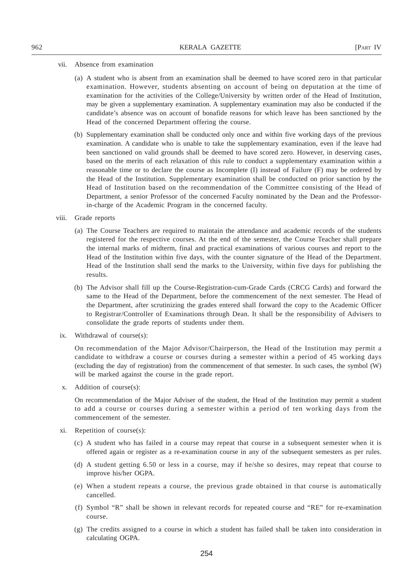## vii. Absence from examination

- (a) A student who is absent from an examination shall be deemed to have scored zero in that particular examination. However, students absenting on account of being on deputation at the time of examination for the activities of the College/University by written order of the Head of Institution, may be given a supplementary examination. A supplementary examination may also be conducted if the candidate's absence was on account of bonafide reasons for which leave has been sanctioned by the Head of the concerned Department offering the course.
- (b) Supplementary examination shall be conducted only once and within five working days of the previous examination. A candidate who is unable to take the supplementary examination, even if the leave had been sanctioned on valid grounds shall be deemed to have scored zero. However, in deserving cases, based on the merits of each relaxation of this rule to conduct a supplementary examination within a reasonable time or to declare the course as Incomplete (I) instead of Failure (F) may be ordered by the Head of the Institution. Supplementary examination shall be conducted on prior sanction by the Head of Institution based on the recommendation of the Committee consisting of the Head of Department, a senior Professor of the concerned Faculty nominated by the Dean and the Professorin-charge of the Academic Program in the concerned faculty.
- viii. Grade reports
	- (a) The Course Teachers are required to maintain the attendance and academic records of the students registered for the respective courses. At the end of the semester, the Course Teacher shall prepare the internal marks of midterm, final and practical examinations of various courses and report to the Head of the Institution within five days, with the counter signature of the Head of the Department. Head of the Institution shall send the marks to the University, within five days for publishing the results.
	- (b) The Advisor shall fill up the Course-Registration-cum-Grade Cards (CRCG Cards) and forward the same to the Head of the Department, before the commencement of the next semester. The Head of the Department, after scrutinizing the grades entered shall forward the copy to the Academic Officer to Registrar/Controller of Examinations through Dean. It shall be the responsibility of Advisers to consolidate the grade reports of students under them.
- ix. Withdrawal of course(s):

On recommendation of the Major Advisor/Chairperson, the Head of the Institution may permit a candidate to withdraw a course or courses during a semester within a period of 45 working days (excluding the day of registration) from the commencement of that semester. In such cases, the symbol (W) will be marked against the course in the grade report.

x. Addition of course(s):

On recommendation of the Major Adviser of the student, the Head of the Institution may permit a student to add a course or courses during a semester within a period of ten working days from the commencement of the semester.

- xi. Repetition of course(s):
	- (c) A student who has failed in a course may repeat that course in a subsequent semester when it is offered again or register as a re-examination course in any of the subsequent semesters as per rules.
	- (d) A student getting 6.50 or less in a course, may if he/she so desires, may repeat that course to improve his/her OGPA.
	- (e) When a student repeats a course, the previous grade obtained in that course is automatically cancelled.
	- (f) Symbol "R" shall be shown in relevant records for repeated course and "RE" for re-examination course.
	- (g) The credits assigned to a course in which a student has failed shall be taken into consideration in calculating OGPA.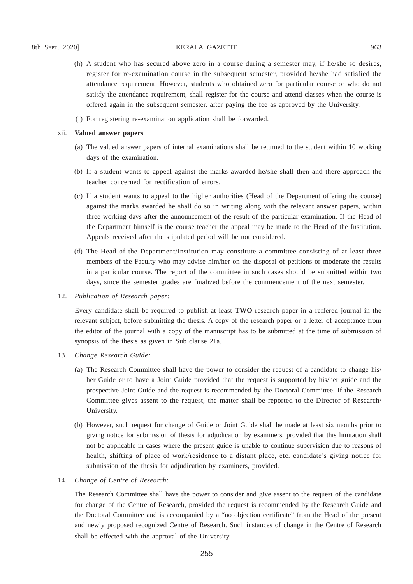- (h) A student who has secured above zero in a course during a semester may, if he/she so desires, register for re-examination course in the subsequent semester, provided he/she had satisfied the attendance requirement. However, students who obtained zero for particular course or who do not satisfy the attendance requirement, shall register for the course and attend classes when the course is offered again in the subsequent semester, after paying the fee as approved by the University.
- (i) For registering re-examination application shall be forwarded.

## xii. **Valued answer papers**

- (a) The valued answer papers of internal examinations shall be returned to the student within 10 working days of the examination.
- (b) If a student wants to appeal against the marks awarded he/she shall then and there approach the teacher concerned for rectification of errors.
- (c) If a student wants to appeal to the higher authorities (Head of the Department offering the course) against the marks awarded he shall do so in writing along with the relevant answer papers, within three working days after the announcement of the result of the particular examination. If the Head of the Department himself is the course teacher the appeal may be made to the Head of the Institution. Appeals received after the stipulated period will be not considered.
- (d) The Head of the Department/Institution may constitute a committee consisting of at least three members of the Faculty who may advise him/her on the disposal of petitions or moderate the results in a particular course. The report of the committee in such cases should be submitted within two days, since the semester grades are finalized before the commencement of the next semester.
- 12. *Publication of Research paper:*

Every candidate shall be required to publish at least **TWO** research paper in a reffered journal in the relevant subject, before submitting the thesis. A copy of the research paper or a letter of acceptance from the editor of the journal with a copy of the manuscript has to be submitted at the time of submission of synopsis of the thesis as given in Sub clause 21a.

- 13. *Change Research Guide:*
	- (a) The Research Committee shall have the power to consider the request of a candidate to change his/ her Guide or to have a Joint Guide provided that the request is supported by his/her guide and the prospective Joint Guide and the request is recommended by the Doctoral Committee. If the Research Committee gives assent to the request, the matter shall be reported to the Director of Research/ University.
	- (b) However, such request for change of Guide or Joint Guide shall be made at least six months prior to giving notice for submission of thesis for adjudication by examiners, provided that this limitation shall not be applicable in cases where the present guide is unable to continue supervision due to reasons of health, shifting of place of work/residence to a distant place, etc. candidate's giving notice for submission of the thesis for adjudication by examiners, provided.
- 14. *Change of Centre of Research:*

The Research Committee shall have the power to consider and give assent to the request of the candidate for change of the Centre of Research, provided the request is recommended by the Research Guide and the Doctoral Committee and is accompanied by a "no objection certificate" from the Head of the present and newly proposed recognized Centre of Research. Such instances of change in the Centre of Research shall be effected with the approval of the University.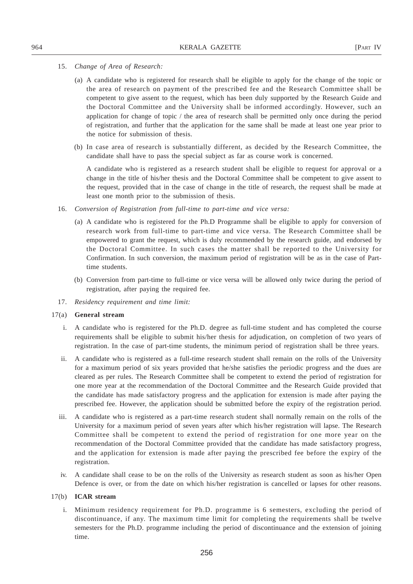- 15. *Change of Area of Research:*
	- (a) A candidate who is registered for research shall be eligible to apply for the change of the topic or the area of research on payment of the prescribed fee and the Research Committee shall be competent to give assent to the request, which has been duly supported by the Research Guide and the Doctoral Committee and the University shall be informed accordingly. However, such an application for change of topic / the area of research shall be permitted only once during the period of registration, and further that the application for the same shall be made at least one year prior to the notice for submission of thesis.
	- (b) In case area of research is substantially different, as decided by the Research Committee, the candidate shall have to pass the special subject as far as course work is concerned.

A candidate who is registered as a research student shall be eligible to request for approval or a change in the title of his/her thesis and the Doctoral Committee shall be competent to give assent to the request, provided that in the case of change in the title of research, the request shall be made at least one month prior to the submission of thesis.

- 16. *Conversion of Registration from full-time to part-time and vice versa:*
	- (a) A candidate who is registered for the Ph.D Programme shall be eligible to apply for conversion of research work from full-time to part-time and vice versa. The Research Committee shall be empowered to grant the request, which is duly recommended by the research guide, and endorsed by the Doctoral Committee. In such cases the matter shall be reported to the University for Confirmation. In such conversion, the maximum period of registration will be as in the case of Parttime students.
	- (b) Conversion from part-time to full-time or vice versa will be allowed only twice during the period of registration, after paying the required fee.
- 17. *Residency requirement and time limit:*

### 17(a) **General stream**

- i. A candidate who is registered for the Ph.D. degree as full-time student and has completed the course requirements shall be eligible to submit his/her thesis for adjudication, on completion of two years of registration. In the case of part-time students, the minimum period of registration shall be three years.
- ii. A candidate who is registered as a full-time research student shall remain on the rolls of the University for a maximum period of six years provided that he/she satisfies the periodic progress and the dues are cleared as per rules. The Research Committee shall be competent to extend the period of registration for one more year at the recommendation of the Doctoral Committee and the Research Guide provided that the candidate has made satisfactory progress and the application for extension is made after paying the prescribed fee. However, the application should be submitted before the expiry of the registration period.
- iii. A candidate who is registered as a part-time research student shall normally remain on the rolls of the University for a maximum period of seven years after which his/her registration will lapse. The Research Committee shall be competent to extend the period of registration for one more year on the recommendation of the Doctoral Committee provided that the candidate has made satisfactory progress, and the application for extension is made after paying the prescribed fee before the expiry of the registration.
- iv. A candidate shall cease to be on the rolls of the University as research student as soon as his/her Open Defence is over, or from the date on which his/her registration is cancelled or lapses for other reasons.

## 17(b) **ICAR stream**

i. Minimum residency requirement for Ph.D. programme is 6 semesters, excluding the period of discontinuance, if any. The maximum time limit for completing the requirements shall be twelve semesters for the Ph.D. programme including the period of discontinuance and the extension of joining time.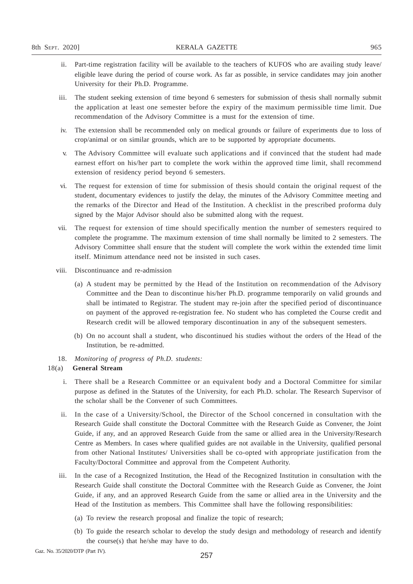- ii. Part-time registration facility will be available to the teachers of KUFOS who are availing study leave/ eligible leave during the period of course work. As far as possible, in service candidates may join another University for their Ph.D. Programme.
- iii. The student seeking extension of time beyond 6 semesters for submission of thesis shall normally submit the application at least one semester before the expiry of the maximum permissible time limit. Due recommendation of the Advisory Committee is a must for the extension of time.
- iv. The extension shall be recommended only on medical grounds or failure of experiments due to loss of crop/animal or on similar grounds, which are to be supported by appropriate documents.
- v. The Advisory Committee will evaluate such applications and if convinced that the student had made earnest effort on his/her part to complete the work within the approved time limit, shall recommend extension of residency period beyond 6 semesters.
- vi. The request for extension of time for submission of thesis should contain the original request of the student, documentary evidences to justify the delay, the minutes of the Advisory Committee meeting and the remarks of the Director and Head of the Institution. A checklist in the prescribed proforma duly signed by the Major Advisor should also be submitted along with the request.
- vii. The request for extension of time should specifically mention the number of semesters required to complete the programme. The maximum extension of time shall normally be limited to 2 semesters. The Advisory Committee shall ensure that the student will complete the work within the extended time limit itself. Minimum attendance need not be insisted in such cases.
- viii. Discontinuance and re-admission
	- (a) A student may be permitted by the Head of the Institution on recommendation of the Advisory Committee and the Dean to discontinue his/her Ph.D. programme temporarily on valid grounds and shall be intimated to Registrar. The student may re-join after the specified period of discontinuance on payment of the approved re-registration fee. No student who has completed the Course credit and Research credit will be allowed temporary discontinuation in any of the subsequent semesters.
	- (b) On no account shall a student, who discontinued his studies without the orders of the Head of the Institution, be re-admitted.
- 18. *Monitoring of progress of Ph.D. students:*

- i. There shall be a Research Committee or an equivalent body and a Doctoral Committee for similar purpose as defined in the Statutes of the University, for each Ph.D. scholar. The Research Supervisor of the scholar shall be the Convener of such Committees.
- ii. In the case of a University/School, the Director of the School concerned in consultation with the Research Guide shall constitute the Doctoral Committee with the Research Guide as Convener, the Joint Guide, if any, and an approved Research Guide from the same or allied area in the University/Research Centre as Members. In cases where qualified guides are not available in the University, qualified personal from other National Institutes/ Universities shall be co-opted with appropriate justification from the Faculty/Doctoral Committee and approval from the Competent Authority.
- iii. In the case of a Recognized Institution, the Head of the Recognized Institution in consultation with the Research Guide shall constitute the Doctoral Committee with the Research Guide as Convener, the Joint Guide, if any, and an approved Research Guide from the same or allied area in the University and the Head of the Institution as members. This Committee shall have the following responsibilities:
	- (a) To review the research proposal and finalize the topic of research;
	- (b) To guide the research scholar to develop the study design and methodology of research and identify the course(s) that he/she may have to do.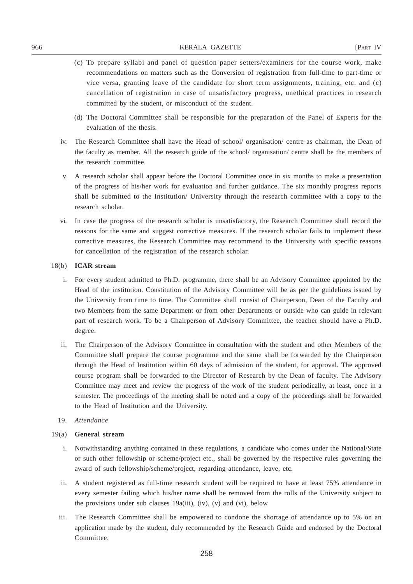- (c) To prepare syllabi and panel of question paper setters/examiners for the course work, make recommendations on matters such as the Conversion of registration from full-time to part-time or vice versa, granting leave of the candidate for short term assignments, training, etc. and (c) cancellation of registration in case of unsatisfactory progress, unethical practices in research committed by the student, or misconduct of the student.
- (d) The Doctoral Committee shall be responsible for the preparation of the Panel of Experts for the evaluation of the thesis.
- iv. The Research Committee shall have the Head of school/ organisation/ centre as chairman, the Dean of the faculty as member. All the research guide of the school/ organisation/ centre shall be the members of the research committee.
- v. A research scholar shall appear before the Doctoral Committee once in six months to make a presentation of the progress of his/her work for evaluation and further guidance. The six monthly progress reports shall be submitted to the Institution/ University through the research committee with a copy to the research scholar.
- vi. In case the progress of the research scholar is unsatisfactory, the Research Committee shall record the reasons for the same and suggest corrective measures. If the research scholar fails to implement these corrective measures, the Research Committee may recommend to the University with specific reasons for cancellation of the registration of the research scholar.

- i. For every student admitted to Ph.D. programme, there shall be an Advisory Committee appointed by the Head of the institution. Constitution of the Advisory Committee will be as per the guidelines issued by the University from time to time. The Committee shall consist of Chairperson, Dean of the Faculty and two Members from the same Department or from other Departments or outside who can guide in relevant part of research work. To be a Chairperson of Advisory Committee, the teacher should have a Ph.D. degree.
- ii. The Chairperson of the Advisory Committee in consultation with the student and other Members of the Committee shall prepare the course programme and the same shall be forwarded by the Chairperson through the Head of Institution within 60 days of admission of the student, for approval. The approved course program shall be forwarded to the Director of Research by the Dean of faculty. The Advisory Committee may meet and review the progress of the work of the student periodically, at least, once in a semester. The proceedings of the meeting shall be noted and a copy of the proceedings shall be forwarded to the Head of Institution and the University.
- 19. *Attendance*

- i. Notwithstanding anything contained in these regulations, a candidate who comes under the National/State or such other fellowship or scheme/project etc., shall be governed by the respective rules governing the award of such fellowship/scheme/project, regarding attendance, leave, etc.
- ii. A student registered as full-time research student will be required to have at least 75% attendance in every semester failing which his/her name shall be removed from the rolls of the University subject to the provisions under sub clauses  $19a(iii)$ , (iv), (v) and (vi), below
- iii. The Research Committee shall be empowered to condone the shortage of attendance up to 5% on an application made by the student, duly recommended by the Research Guide and endorsed by the Doctoral Committee.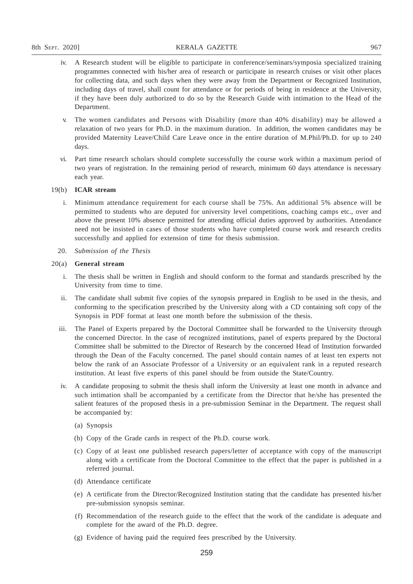- iv. A Research student will be eligible to participate in conference/seminars/symposia specialized training programmes connected with his/her area of research or participate in research cruises or visit other places for collecting data, and such days when they were away from the Department or Recognized Institution, including days of travel, shall count for attendance or for periods of being in residence at the University, if they have been duly authorized to do so by the Research Guide with intimation to the Head of the Department.
- v. The women candidates and Persons with Disability (more than 40% disability) may be allowed a relaxation of two years for Ph.D. in the maximum duration. In addition, the women candidates may be provided Maternity Leave/Child Care Leave once in the entire duration of M.Phil/Ph.D. for up to 240 days.
- vi. Part time research scholars should complete successfully the course work within a maximum period of two years of registration. In the remaining period of research, minimum 60 days attendance is necessary each year.

- i. Minimum attendance requirement for each course shall be 75%. An additional 5% absence will be permitted to students who are deputed for university level competitions, coaching camps etc., over and above the present 10% absence permitted for attending official duties approved by authorities. Attendance need not be insisted in cases of those students who have completed course work and research credits successfully and applied for extension of time for thesis submission.
- 20. *Submission of the Thesis*

- i. The thesis shall be written in English and should conform to the format and standards prescribed by the University from time to time.
- ii. The candidate shall submit five copies of the synopsis prepared in English to be used in the thesis, and conforming to the specification prescribed by the University along with a CD containing soft copy of the Synopsis in PDF format at least one month before the submission of the thesis.
- iii. The Panel of Experts prepared by the Doctoral Committee shall be forwarded to the University through the concerned Director. In the case of recognized institutions, panel of experts prepared by the Doctoral Committee shall be submitted to the Director of Research by the concerned Head of Institution forwarded through the Dean of the Faculty concerned. The panel should contain names of at least ten experts not below the rank of an Associate Professor of a University or an equivalent rank in a reputed research institution. At least five experts of this panel should be from outside the State/Country.
- iv. A candidate proposing to submit the thesis shall inform the University at least one month in advance and such intimation shall be accompanied by a certificate from the Director that he/she has presented the salient features of the proposed thesis in a pre-submission Seminar in the Department. The request shall be accompanied by:
	- (a) Synopsis
	- (b) Copy of the Grade cards in respect of the Ph.D. course work.
	- (c) Copy of at least one published research papers/letter of acceptance with copy of the manuscript along with a certificate from the Doctoral Committee to the effect that the paper is published in a referred journal.
	- (d) Attendance certificate
	- (e) A certificate from the Director/Recognized Institution stating that the candidate has presented his/her pre-submission synopsis seminar.
	- (f) Recommendation of the research guide to the effect that the work of the candidate is adequate and complete for the award of the Ph.D. degree.
	- (g) Evidence of having paid the required fees prescribed by the University.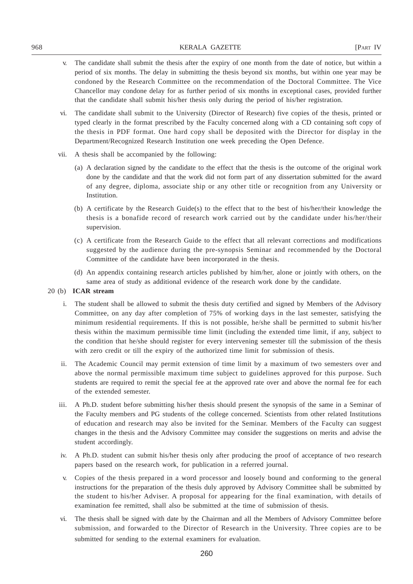- v. The candidate shall submit the thesis after the expiry of one month from the date of notice, but within a period of six months. The delay in submitting the thesis beyond six months, but within one year may be condoned by the Research Committee on the recommendation of the Doctoral Committee. The Vice Chancellor may condone delay for as further period of six months in exceptional cases, provided further that the candidate shall submit his/her thesis only during the period of his/her registration.
- vi. The candidate shall submit to the University (Director of Research) five copies of the thesis, printed or typed clearly in the format prescribed by the Faculty concerned along with a CD containing soft copy of the thesis in PDF format. One hard copy shall be deposited with the Director for display in the Department/Recognized Research Institution one week preceding the Open Defence.
- vii. A thesis shall be accompanied by the following:
	- (a) A declaration signed by the candidate to the effect that the thesis is the outcome of the original work done by the candidate and that the work did not form part of any dissertation submitted for the award of any degree, diploma, associate ship or any other title or recognition from any University or Institution.
	- (b) A certificate by the Research Guide(s) to the effect that to the best of his/her/their knowledge the thesis is a bonafide record of research work carried out by the candidate under his/her/their supervision.
	- (c) A certificate from the Research Guide to the effect that all relevant corrections and modifications suggested by the audience during the pre-synopsis Seminar and recommended by the Doctoral Committee of the candidate have been incorporated in the thesis.
	- (d) An appendix containing research articles published by him/her, alone or jointly with others, on the same area of study as additional evidence of the research work done by the candidate.

- i. The student shall be allowed to submit the thesis duty certified and signed by Members of the Advisory Committee, on any day after completion of 75% of working days in the last semester, satisfying the minimum residential requirements. If this is not possible, he/she shall be permitted to submit his/her thesis within the maximum permissible time limit (including the extended time limit, if any, subject to the condition that he/she should register for every intervening semester till the submission of the thesis with zero credit or till the expiry of the authorized time limit for submission of thesis.
- ii. The Academic Council may permit extension of time limit by a maximum of two semesters over and above the normal permissible maximum time subject to guidelines approved for this purpose. Such students are required to remit the special fee at the approved rate over and above the normal fee for each of the extended semester.
- iii. A Ph.D. student before submitting his/her thesis should present the synopsis of the same in a Seminar of the Faculty members and PG students of the college concerned. Scientists from other related Institutions of education and research may also be invited for the Seminar. Members of the Faculty can suggest changes in the thesis and the Advisory Committee may consider the suggestions on merits and advise the student accordingly.
- iv. A Ph.D. student can submit his/her thesis only after producing the proof of acceptance of two research papers based on the research work, for publication in a referred journal.
- v. Copies of the thesis prepared in a word processor and loosely bound and conforming to the general instructions for the preparation of the thesis duly approved by Advisory Committee shall be submitted by the student to his/her Adviser. A proposal for appearing for the final examination, with details of examination fee remitted, shall also be submitted at the time of submission of thesis.
- vi. The thesis shall be signed with date by the Chairman and all the Members of Advisory Committee before submission, and forwarded to the Director of Research in the University. Three copies are to be submitted for sending to the external examiners for evaluation.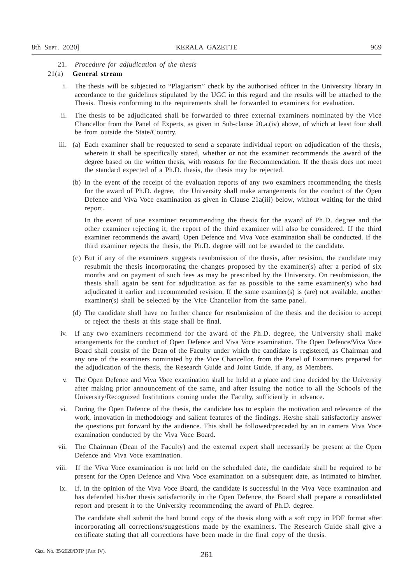## 21. *Procedure for adjudication of the thesis*

#### 21(a) **General stream**

- i. The thesis will be subjected to "Plagiarism" check by the authorised officer in the University library in accordance to the guidelines stipulated by the UGC in this regard and the results will be attached to the Thesis. Thesis conforming to the requirements shall be forwarded to examiners for evaluation.
- ii. The thesis to be adjudicated shall be forwarded to three external examiners nominated by the Vice Chancellor from the Panel of Experts, as given in Sub-clause 20.a.(iv) above, of which at least four shall be from outside the State/Country.
- iii. (a) Each examiner shall be requested to send a separate individual report on adjudication of the thesis, wherein it shall be specifically stated, whether or not the examiner recommends the award of the degree based on the written thesis, with reasons for the Recommendation. If the thesis does not meet the standard expected of a Ph.D. thesis, the thesis may be rejected.
	- (b) In the event of the receipt of the evaluation reports of any two examiners recommending the thesis for the award of Ph.D. degree, the University shall make arrangements for the conduct of the Open Defence and Viva Voce examination as given in Clause 21a(iii) below, without waiting for the third report.

In the event of one examiner recommending the thesis for the award of Ph.D. degree and the other examiner rejecting it, the report of the third examiner will also be considered. If the third examiner recommends the award, Open Defence and Viva Voce examination shall be conducted. If the third examiner rejects the thesis, the Ph.D. degree will not be awarded to the candidate.

- (c) But if any of the examiners suggests resubmission of the thesis, after revision, the candidate may resubmit the thesis incorporating the changes proposed by the examiner(s) after a period of six months and on payment of such fees as may be prescribed by the University. On resubmission, the thesis shall again be sent for adjudication as far as possible to the same examiner(s) who had adjudicated it earlier and recommended revision. If the same examiner(s) is (are) not available, another examiner(s) shall be selected by the Vice Chancellor from the same panel.
- (d) The candidate shall have no further chance for resubmission of the thesis and the decision to accept or reject the thesis at this stage shall be final.
- iv. If any two examiners recommend for the award of the Ph.D. degree, the University shall make arrangements for the conduct of Open Defence and Viva Voce examination. The Open Defence/Viva Voce Board shall consist of the Dean of the Faculty under which the candidate is registered, as Chairman and any one of the examiners nominated by the Vice Chancellor, from the Panel of Examiners prepared for the adjudication of the thesis, the Research Guide and Joint Guide, if any, as Members.
- v. The Open Defence and Viva Voce examination shall be held at a place and time decided by the University after making prior announcement of the same, and after issuing the notice to all the Schools of the University/Recognized Institutions coming under the Faculty, sufficiently in advance.
- vi. During the Open Defence of the thesis, the candidate has to explain the motivation and relevance of the work, innovation in methodology and salient features of the findings. He/she shall satisfactorily answer the questions put forward by the audience. This shall be followed/preceded by an in camera Viva Voce examination conducted by the Viva Voce Board.
- vii. The Chairman (Dean of the Faculty) and the external expert shall necessarily be present at the Open Defence and Viva Voce examination.
- viii. If the Viva Voce examination is not held on the scheduled date, the candidate shall be required to be present for the Open Defence and Viva Voce examination on a subsequent date, as intimated to him/her.
- ix. If, in the opinion of the Viva Voce Board, the candidate is successful in the Viva Voce examination and has defended his/her thesis satisfactorily in the Open Defence, the Board shall prepare a consolidated report and present it to the University recommending the award of Ph.D. degree.

The candidate shall submit the hard bound copy of the thesis along with a soft copy in PDF format after incorporating all corrections/suggestions made by the examiners. The Research Guide shall give a certificate stating that all corrections have been made in the final copy of the thesis.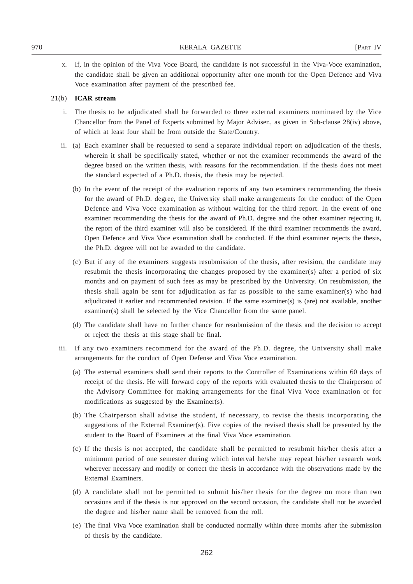x. If, in the opinion of the Viva Voce Board, the candidate is not successful in the Viva-Voce examination, the candidate shall be given an additional opportunity after one month for the Open Defence and Viva Voce examination after payment of the prescribed fee.

- i. The thesis to be adjudicated shall be forwarded to three external examiners nominated by the Vice Chancellor from the Panel of Experts submitted by Major Adviser., as given in Sub-clause 28(iv) above, of which at least four shall be from outside the State/Country.
- ii. (a) Each examiner shall be requested to send a separate individual report on adjudication of the thesis, wherein it shall be specifically stated, whether or not the examiner recommends the award of the degree based on the written thesis, with reasons for the recommendation. If the thesis does not meet the standard expected of a Ph.D. thesis, the thesis may be rejected.
	- (b) In the event of the receipt of the evaluation reports of any two examiners recommending the thesis for the award of Ph.D. degree, the University shall make arrangements for the conduct of the Open Defence and Viva Voce examination as without waiting for the third report. In the event of one examiner recommending the thesis for the award of Ph.D. degree and the other examiner rejecting it, the report of the third examiner will also be considered. If the third examiner recommends the award, Open Defence and Viva Voce examination shall be conducted. If the third examiner rejects the thesis, the Ph.D. degree will not be awarded to the candidate.
	- (c) But if any of the examiners suggests resubmission of the thesis, after revision, the candidate may resubmit the thesis incorporating the changes proposed by the examiner(s) after a period of six months and on payment of such fees as may be prescribed by the University. On resubmission, the thesis shall again be sent for adjudication as far as possible to the same examiner(s) who had adjudicated it earlier and recommended revision. If the same examiner(s) is (are) not available, another examiner(s) shall be selected by the Vice Chancellor from the same panel.
	- (d) The candidate shall have no further chance for resubmission of the thesis and the decision to accept or reject the thesis at this stage shall be final.
- iii. If any two examiners recommend for the award of the Ph.D. degree, the University shall make arrangements for the conduct of Open Defense and Viva Voce examination.
	- (a) The external examiners shall send their reports to the Controller of Examinations within 60 days of receipt of the thesis. He will forward copy of the reports with evaluated thesis to the Chairperson of the Advisory Committee for making arrangements for the final Viva Voce examination or for modifications as suggested by the Examiner(s).
	- (b) The Chairperson shall advise the student, if necessary, to revise the thesis incorporating the suggestions of the External Examiner(s). Five copies of the revised thesis shall be presented by the student to the Board of Examiners at the final Viva Voce examination.
	- (c) If the thesis is not accepted, the candidate shall be permitted to resubmit his/her thesis after a minimum period of one semester during which interval he/she may repeat his/her research work wherever necessary and modify or correct the thesis in accordance with the observations made by the External Examiners.
	- (d) A candidate shall not be permitted to submit his/her thesis for the degree on more than two occasions and if the thesis is not approved on the second occasion, the candidate shall not be awarded the degree and his/her name shall be removed from the roll.
	- (e) The final Viva Voce examination shall be conducted normally within three months after the submission of thesis by the candidate.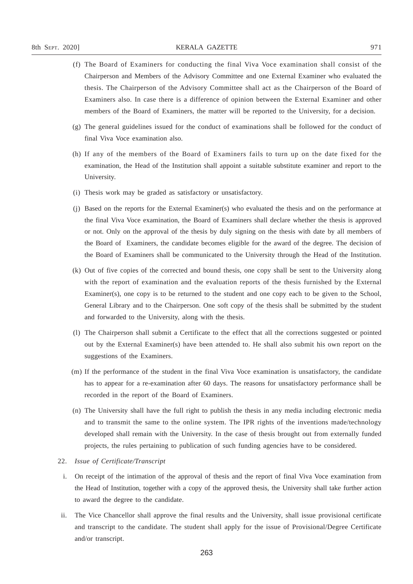- 
- (f) The Board of Examiners for conducting the final Viva Voce examination shall consist of the Chairperson and Members of the Advisory Committee and one External Examiner who evaluated the thesis. The Chairperson of the Advisory Committee shall act as the Chairperson of the Board of Examiners also. In case there is a difference of opinion between the External Examiner and other members of the Board of Examiners, the matter will be reported to the University, for a decision.
- (g) The general guidelines issued for the conduct of examinations shall be followed for the conduct of final Viva Voce examination also.
- (h) If any of the members of the Board of Examiners fails to turn up on the date fixed for the examination, the Head of the Institution shall appoint a suitable substitute examiner and report to the University.
- (i) Thesis work may be graded as satisfactory or unsatisfactory.
- (j) Based on the reports for the External Examiner(s) who evaluated the thesis and on the performance at the final Viva Voce examination, the Board of Examiners shall declare whether the thesis is approved or not. Only on the approval of the thesis by duly signing on the thesis with date by all members of the Board of Examiners, the candidate becomes eligible for the award of the degree. The decision of the Board of Examiners shall be communicated to the University through the Head of the Institution.
- (k) Out of five copies of the corrected and bound thesis, one copy shall be sent to the University along with the report of examination and the evaluation reports of the thesis furnished by the External Examiner(s), one copy is to be returned to the student and one copy each to be given to the School, General Library and to the Chairperson. One soft copy of the thesis shall be submitted by the student and forwarded to the University, along with the thesis.
- (l) The Chairperson shall submit a Certificate to the effect that all the corrections suggested or pointed out by the External Examiner(s) have been attended to. He shall also submit his own report on the suggestions of the Examiners.
- (m) If the performance of the student in the final Viva Voce examination is unsatisfactory, the candidate has to appear for a re-examination after 60 days. The reasons for unsatisfactory performance shall be recorded in the report of the Board of Examiners.
- (n) The University shall have the full right to publish the thesis in any media including electronic media and to transmit the same to the online system. The IPR rights of the inventions made/technology developed shall remain with the University. In the case of thesis brought out from externally funded projects, the rules pertaining to publication of such funding agencies have to be considered.

## 22. *Issue of Certificate/Transcript*

- i. On receipt of the intimation of the approval of thesis and the report of final Viva Voce examination from the Head of Institution, together with a copy of the approved thesis, the University shall take further action to award the degree to the candidate.
- ii. The Vice Chancellor shall approve the final results and the University, shall issue provisional certificate and transcript to the candidate. The student shall apply for the issue of Provisional/Degree Certificate and/or transcript.